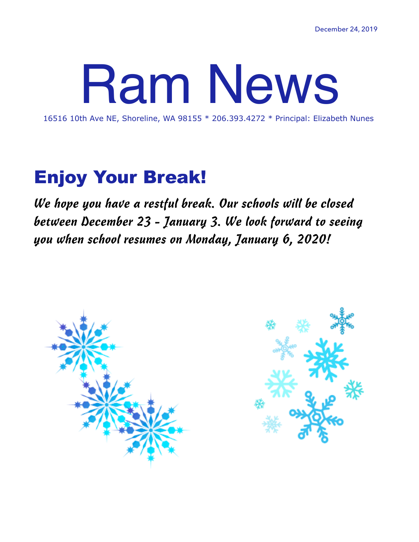# 16516 10th Ave NE, Shoreline, WA 98155 \* 206.393.4272 \* Principal: Elizabeth Nunes

## Enjoy Your Break!

*We hope you have a restful break. Our schools will be closed between December 23 - January 3. We look forward to seeing you when school resumes on Monday, January 6, 2020!* 



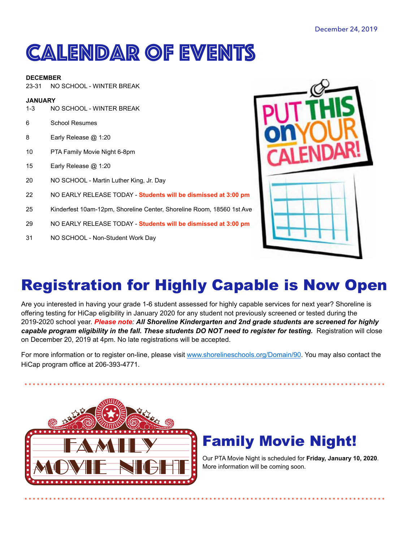# **CALENDAR OF EVENTS**

#### **DECEMBER**

NO SCHOOL - WINTER BREAK  $23 - 31$ 

#### **JANUARY**

- $1 3$ NO SCHOOL - WINTER BREAK
- 6 **School Resumes**
- 8 Early Release @ 1:20
- 10 PTA Family Movie Night 6-8pm
- 15 Early Release @ 1:20
- NO SCHOOL Martin Luther King, Jr. Day 20
- 22 NO EARLY RELEASE TODAY - Students will be dismissed at 3:00 pm
- Kinderfest 10am-12pm, Shoreline Center, Shoreline Room, 18560 1st Ave 25
- NO EARLY RELEASE TODAY Students will be dismissed at 3:00 pm 29
- $31$ NO SCHOOL - Non-Student Work Day



## **Registration for Highly Capable is Now Open**

Are you interested in having your grade 1-6 student assessed for highly capable services for next year? Shoreline is offering testing for HiCap eligibility in January 2020 for any student not previously screened or tested during the 2019-2020 school year. Please note: All Shoreline Kindergarten and 2nd grade students are screened for highly capable program eligibility in the fall. These students DO NOT need to register for testing. Registration will close on December 20, 2019 at 4pm. No late registrations will be accepted.

For more information or to register on-line, please visit www.shorelineschools.org/Domain/90. You may also contact the HiCap program office at 206-393-4771.



### **Family Movie Night!**

Our PTA Movie Night is scheduled for Friday, January 10, 2020. More information will be coming soon.